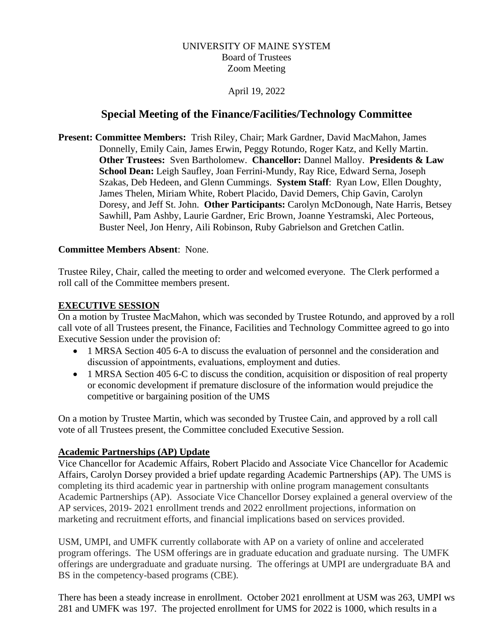## UNIVERSITY OF MAINE SYSTEM Board of Trustees Zoom Meeting

#### April 19, 2022

# **Special Meeting of the Finance/Facilities/Technology Committee**

**Present: Committee Members:** Trish Riley, Chair; Mark Gardner, David MacMahon, James Donnelly, Emily Cain, James Erwin, Peggy Rotundo, Roger Katz, and Kelly Martin. **Other Trustees:** Sven Bartholomew. **Chancellor:** Dannel Malloy. **Presidents & Law School Dean:** Leigh Saufley, Joan Ferrini-Mundy, Ray Rice, Edward Serna, Joseph Szakas, Deb Hedeen, and Glenn Cummings. **System Staff**: Ryan Low, Ellen Doughty, James Thelen, Miriam White, Robert Placido, David Demers, Chip Gavin, Carolyn Doresy, and Jeff St. John. **Other Participants:** Carolyn McDonough, Nate Harris, Betsey Sawhill, Pam Ashby, Laurie Gardner, Eric Brown, Joanne Yestramski, Alec Porteous, Buster Neel, Jon Henry, Aili Robinson, Ruby Gabrielson and Gretchen Catlin.

### **Committee Members Absent**: None.

Trustee Riley, Chair, called the meeting to order and welcomed everyone. The Clerk performed a roll call of the Committee members present.

### **EXECUTIVE SESSION**

On a motion by Trustee MacMahon, which was seconded by Trustee Rotundo, and approved by a roll call vote of all Trustees present, the Finance, Facilities and Technology Committee agreed to go into Executive Session under the provision of:

- 1 MRSA Section 405 6-A to discuss the evaluation of personnel and the consideration and discussion of appointments, evaluations, employment and duties.
- 1 MRSA Section 405 6-C to discuss the condition, acquisition or disposition of real property or economic development if premature disclosure of the information would prejudice the competitive or bargaining position of the UMS

On a motion by Trustee Martin, which was seconded by Trustee Cain, and approved by a roll call vote of all Trustees present, the Committee concluded Executive Session.

#### **Academic Partnerships (AP) Update**

Vice Chancellor for Academic Affairs, Robert Placido and Associate Vice Chancellor for Academic Affairs, Carolyn Dorsey provided a brief update regarding Academic Partnerships (AP). The UMS is completing its third academic year in partnership with online program management consultants Academic Partnerships (AP). Associate Vice Chancellor Dorsey explained a general overview of the AP services, 2019- 2021 enrollment trends and 2022 enrollment projections, information on marketing and recruitment efforts, and financial implications based on services provided.

USM, UMPI, and UMFK currently collaborate with AP on a variety of online and accelerated program offerings. The USM offerings are in graduate education and graduate nursing. The UMFK offerings are undergraduate and graduate nursing. The offerings at UMPI are undergraduate BA and BS in the competency-based programs (CBE).

There has been a steady increase in enrollment. October 2021 enrollment at USM was 263, UMPI ws 281 and UMFK was 197. The projected enrollment for UMS for 2022 is 1000, which results in a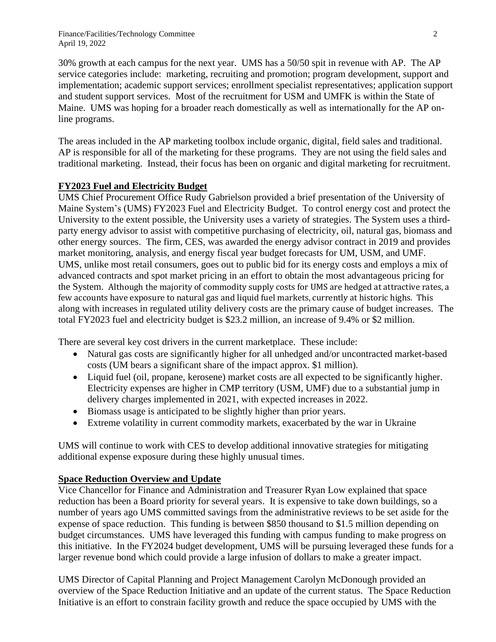30% growth at each campus for the next year. UMS has a 50/50 spit in revenue with AP. The AP service categories include: marketing, recruiting and promotion; program development, support and implementation; academic support services; enrollment specialist representatives; application support and student support services. Most of the recruitment for USM and UMFK is within the State of Maine. UMS was hoping for a broader reach domestically as well as internationally for the AP online programs.

The areas included in the AP marketing toolbox include organic, digital, field sales and traditional. AP is responsible for all of the marketing for these programs. They are not using the field sales and traditional marketing. Instead, their focus has been on organic and digital marketing for recruitment.

## **FY2023 Fuel and Electricity Budget**

UMS Chief Procurement Office Rudy Gabrielson provided a brief presentation of the University of Maine System's (UMS) FY2023 Fuel and Electricity Budget. To control energy cost and protect the University to the extent possible, the University uses a variety of strategies. The System uses a thirdparty energy advisor to assist with competitive purchasing of electricity, oil, natural gas, biomass and other energy sources. The firm, CES, was awarded the energy advisor contract in 2019 and provides market monitoring, analysis, and energy fiscal year budget forecasts for UM, USM, and UMF. UMS, unlike most retail consumers, goes out to public bid for its energy costs and employs a mix of advanced contracts and spot market pricing in an effort to obtain the most advantageous pricing for the System. Although the majority of commodity supply costs for UMS are hedged at attractive rates, a few accounts have exposure to natural gas and liquid fuel markets, currently at historic highs. This along with increases in regulated utility delivery costs are the primary cause of budget increases. The total FY2023 fuel and electricity budget is \$23.2 million, an increase of 9.4% or \$2 million.

There are several key cost drivers in the current marketplace. These include:

- Natural gas costs are significantly higher for all unhedged and/or uncontracted market-based costs (UM bears a significant share of the impact approx. \$1 million).
- Liquid fuel (oil, propane, kerosene) market costs are all expected to be significantly higher. Electricity expenses are higher in CMP territory (USM, UMF) due to a substantial jump in delivery charges implemented in 2021, with expected increases in 2022.
- Biomass usage is anticipated to be slightly higher than prior years.
- Extreme volatility in current commodity markets, exacerbated by the war in Ukraine

UMS will continue to work with CES to develop additional innovative strategies for mitigating additional expense exposure during these highly unusual times.

#### **Space Reduction Overview and Update**

Vice Chancellor for Finance and Administration and Treasurer Ryan Low explained that space reduction has been a Board priority for several years. It is expensive to take down buildings, so a number of years ago UMS committed savings from the administrative reviews to be set aside for the expense of space reduction. This funding is between \$850 thousand to \$1.5 million depending on budget circumstances. UMS have leveraged this funding with campus funding to make progress on this initiative. In the FY2024 budget development, UMS will be pursuing leveraged these funds for a larger revenue bond which could provide a large infusion of dollars to make a greater impact.

UMS Director of Capital Planning and Project Management Carolyn McDonough provided an overview of the Space Reduction Initiative and an update of the current status. The Space Reduction Initiative is an effort to constrain facility growth and reduce the space occupied by UMS with the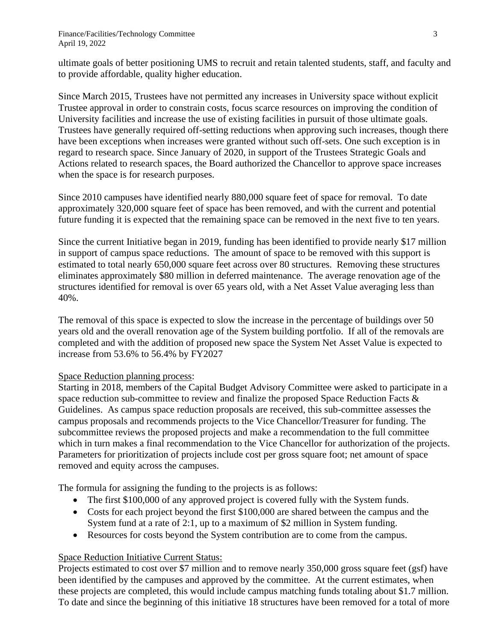ultimate goals of better positioning UMS to recruit and retain talented students, staff, and faculty and to provide affordable, quality higher education.

Since March 2015, Trustees have not permitted any increases in University space without explicit Trustee approval in order to constrain costs, focus scarce resources on improving the condition of University facilities and increase the use of existing facilities in pursuit of those ultimate goals. Trustees have generally required off-setting reductions when approving such increases, though there have been exceptions when increases were granted without such off-sets. One such exception is in regard to research space. Since January of 2020, in support of the Trustees Strategic Goals and Actions related to research spaces, the Board authorized the Chancellor to approve space increases when the space is for research purposes.

Since 2010 campuses have identified nearly 880,000 square feet of space for removal. To date approximately 320,000 square feet of space has been removed, and with the current and potential future funding it is expected that the remaining space can be removed in the next five to ten years.

Since the current Initiative began in 2019, funding has been identified to provide nearly \$17 million in support of campus space reductions. The amount of space to be removed with this support is estimated to total nearly 650,000 square feet across over 80 structures. Removing these structures eliminates approximately \$80 million in deferred maintenance. The average renovation age of the structures identified for removal is over 65 years old, with a Net Asset Value averaging less than 40%.

The removal of this space is expected to slow the increase in the percentage of buildings over 50 years old and the overall renovation age of the System building portfolio. If all of the removals are completed and with the addition of proposed new space the System Net Asset Value is expected to increase from 53.6% to 56.4% by FY2027

## Space Reduction planning process:

Starting in 2018, members of the Capital Budget Advisory Committee were asked to participate in a space reduction sub-committee to review and finalize the proposed Space Reduction Facts & Guidelines. As campus space reduction proposals are received, this sub-committee assesses the campus proposals and recommends projects to the Vice Chancellor/Treasurer for funding. The subcommittee reviews the proposed projects and make a recommendation to the full committee which in turn makes a final recommendation to the Vice Chancellor for authorization of the projects. Parameters for prioritization of projects include cost per gross square foot; net amount of space removed and equity across the campuses.

The formula for assigning the funding to the projects is as follows:

- The first \$100,000 of any approved project is covered fully with the System funds.
- Costs for each project beyond the first \$100,000 are shared between the campus and the System fund at a rate of 2:1, up to a maximum of \$2 million in System funding.
- Resources for costs beyond the System contribution are to come from the campus.

# Space Reduction Initiative Current Status:

Projects estimated to cost over \$7 million and to remove nearly 350,000 gross square feet (gsf) have been identified by the campuses and approved by the committee. At the current estimates, when these projects are completed, this would include campus matching funds totaling about \$1.7 million. To date and since the beginning of this initiative 18 structures have been removed for a total of more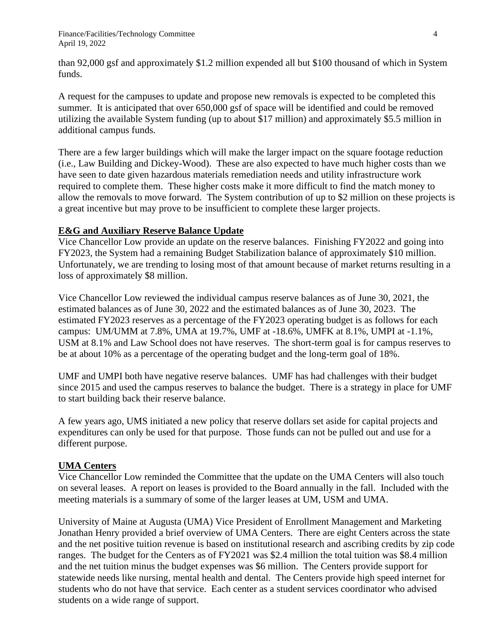Finance/Facilities/Technology Committee 4 April 19, 2022

than 92,000 gsf and approximately \$1.2 million expended all but \$100 thousand of which in System funds.

A request for the campuses to update and propose new removals is expected to be completed this summer. It is anticipated that over 650,000 gsf of space will be identified and could be removed utilizing the available System funding (up to about \$17 million) and approximately \$5.5 million in additional campus funds.

There are a few larger buildings which will make the larger impact on the square footage reduction (i.e., Law Building and Dickey-Wood). These are also expected to have much higher costs than we have seen to date given hazardous materials remediation needs and utility infrastructure work required to complete them. These higher costs make it more difficult to find the match money to allow the removals to move forward. The System contribution of up to \$2 million on these projects is a great incentive but may prove to be insufficient to complete these larger projects.

#### **E&G and Auxiliary Reserve Balance Update**

Vice Chancellor Low provide an update on the reserve balances. Finishing FY2022 and going into FY2023, the System had a remaining Budget Stabilization balance of approximately \$10 million. Unfortunately, we are trending to losing most of that amount because of market returns resulting in a loss of approximately \$8 million.

Vice Chancellor Low reviewed the individual campus reserve balances as of June 30, 2021, the estimated balances as of June 30, 2022 and the estimated balances as of June 30, 2023. The estimated FY2023 reserves as a percentage of the FY2023 operating budget is as follows for each campus: UM/UMM at 7.8%, UMA at 19.7%, UMF at -18.6%, UMFK at 8.1%, UMPI at -1.1%, USM at 8.1% and Law School does not have reserves. The short-term goal is for campus reserves to be at about 10% as a percentage of the operating budget and the long-term goal of 18%.

UMF and UMPI both have negative reserve balances. UMF has had challenges with their budget since 2015 and used the campus reserves to balance the budget. There is a strategy in place for UMF to start building back their reserve balance.

A few years ago, UMS initiated a new policy that reserve dollars set aside for capital projects and expenditures can only be used for that purpose. Those funds can not be pulled out and use for a different purpose.

#### **UMA Centers**

Vice Chancellor Low reminded the Committee that the update on the UMA Centers will also touch on several leases. A report on leases is provided to the Board annually in the fall. Included with the meeting materials is a summary of some of the larger leases at UM, USM and UMA.

University of Maine at Augusta (UMA) Vice President of Enrollment Management and Marketing Jonathan Henry provided a brief overview of UMA Centers. There are eight Centers across the state and the net positive tuition revenue is based on institutional research and ascribing credits by zip code ranges. The budget for the Centers as of FY2021 was \$2.4 million the total tuition was \$8.4 million and the net tuition minus the budget expenses was \$6 million. The Centers provide support for statewide needs like nursing, mental health and dental. The Centers provide high speed internet for students who do not have that service. Each center as a student services coordinator who advised students on a wide range of support.